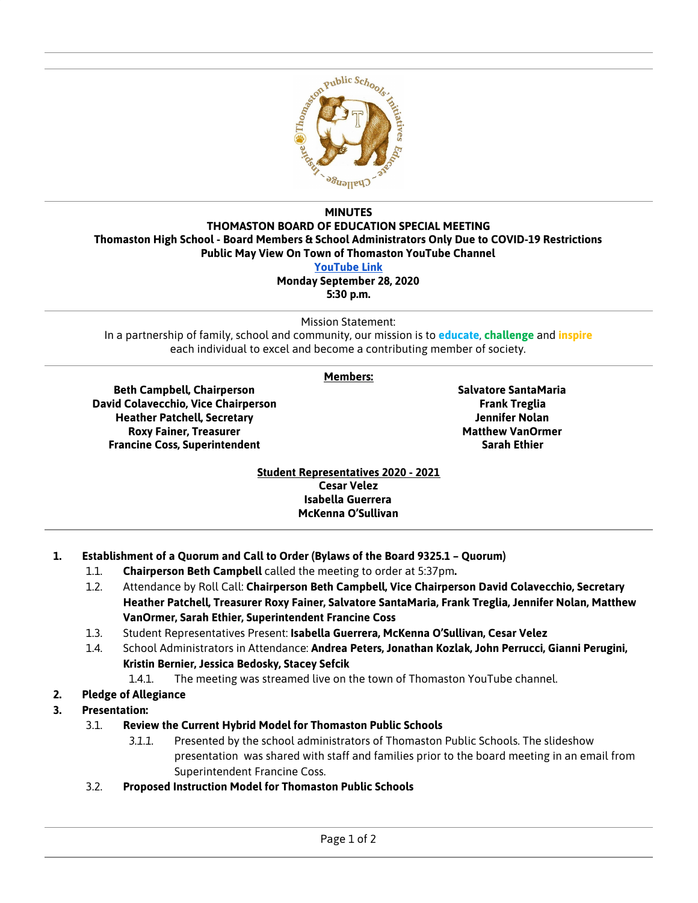

## **MINUTES THOMASTON BOARD OF EDUCATION SPECIAL MEETING Thomaston High School - Board Members & School Administrators Only Due to COVID-19 Restrictions Public May View On Town of Thomaston YouTube Channel [YouTube](https://www.youtube.com/channel/UC53suszlfZ6I7XSqqtITNTg) Link Monday September 28, 2020**

**5:30 p.m.**

Mission Statement:

In a partnership of family, school and community, our mission is to **educate**, **challenge** and **inspire** each individual to excel and become a contributing member of society.

## **Members:**

**Beth Campbell, Chairperson David Colavecchio, Vice Chairperson Heather Patchell, Secretary Roxy Fainer, Treasurer Francine Coss, Superintendent**

**Salvatore SantaMaria Frank Treglia Jennifer Nolan Matthew VanOrmer Sarah Ethier**

**Student Representatives 2020 - 2021 Cesar Velez Isabella Guerrera McKenna O'Sullivan**

- **1. Establishment of a Quorum and Call to Order (Bylaws of the Board 9325.1 – Quorum)**
	- 1.1. **Chairperson Beth Campbell** called the meeting to order at 5:37pm**.**
	- 1.2. Attendance by Roll Call: **Chairperson Beth Campbell, Vice Chairperson David Colavecchio, Secretary Heather Patchell, Treasurer Roxy Fainer, Salvatore SantaMaria, Frank Treglia, Jennifer Nolan, Matthew VanOrmer, Sarah Ethier, Superintendent Francine Coss**
	- 1.3. Student Representatives Present: **Isabella Guerrera, McKenna O'Sullivan, Cesar Velez**
	- 1.4. School Administrators in Attendance: **Andrea Peters, Jonathan Kozlak, John Perrucci, Gianni Perugini, Kristin Bernier, Jessica Bedosky, Stacey Sefcik**
		- 1.4.1. The meeting was streamed live on the town of Thomaston YouTube channel.
- **2. Pledge of Allegiance**
- **3. Presentation:**
	- 3.1. **Review the Current Hybrid Model for Thomaston Public Schools**
		- *3.1.1.* Presented by the school administrators of Thomaston Public Schools. The slideshow presentation was shared with staff and families prior to the board meeting in an email from Superintendent Francine Coss.
	- 3.2. **Proposed Instruction Model for Thomaston Public Schools**